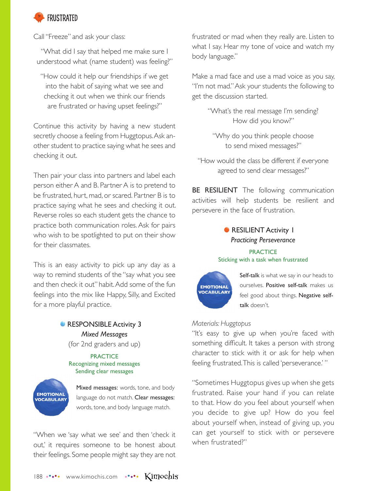

Call "Freeze" and ask your class:

"What did I say that helped me make sure I understood what (name student) was feeling?"

"How could it help our friendships if we get into the habit of saying what we see and checking it out when we think our friends are frustrated or having upset feelings?"

Continue this activity by having a new student secretly choose a feeling from Huggtopus. Ask another student to practice saying what he sees and checking it out.

Then pair your class into partners and label each person either A and B. Partner A is to pretend to be frustrated, hurt, mad, or scared. Partner B is to practice saying what he sees and checking it out. Reverse roles so each student gets the chance to practice both communication roles. Ask for pairs who wish to be spotlighted to put on their show for their classmates.

This is an easy activity to pick up any day as a way to remind students of the "say what you see and then check it out" habit. Add some of the fun feelings into the mix like Happy, Silly, and Excited for a more playful practice.

# **RESPONSIBLE Activity 3** *Mixed Messages* (for 2nd graders and up)

**PRACTICE** Recognizing mixed messages Sending clear messages



Mixed messages: words, tone, and body language do not match. Clear messages: words, tone, and body language match.

"When we 'say what we see' and then 'check it out,' it requires someone to be honest about their feelings. Some people might say they are not frustrated or mad when they really are. Listen to what I say. Hear my tone of voice and watch my body language."

Make a mad face and use a mad voice as you say, "I'm not mad." Ask your students the following to get the discussion started.

> "What's the real message I'm sending? How did you know?"

"Why do you think people choose to send mixed messages?"

"How would the class be different if everyone agreed to send clear messages?"

**BE RESILIENT** The following communication activities will help students be resilient and persevere in the face of frustration.

# **• RESILIENT Activity 1** *Practicing Perseverance*

#### **PRACTICE** Sticking with a task when frustrated



Self-talk is what we say in our heads to ourselves. Positive self-talk makes us feel good about things. Negative selftalk doesn't.

### *Materials: Huggtopus*

"It's easy to give up when you're faced with something difficult. It takes a person with strong character to stick with it or ask for help when feeling frustrated. This is called 'perseverance.' "

"Sometimes Huggtopus gives up when she gets frustrated. Raise your hand if you can relate to that. How do you feel about yourself when you decide to give up? How do you feel about yourself when, instead of giving up, you can get yourself to stick with or persevere when frustrated?"